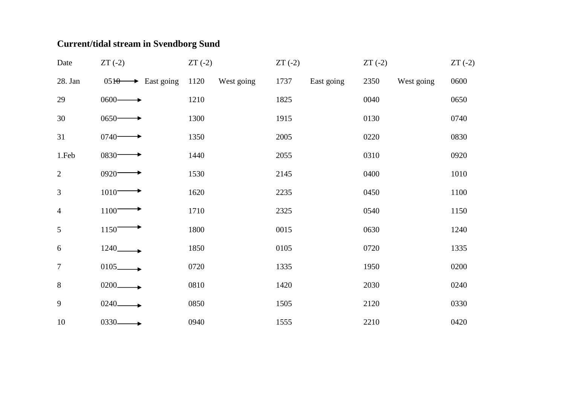## **Current/tidal stream in Svendborg Sund**

| Date           | $ZT(-2)$                      | $ZT(-2)$           | $ZT(-2)$ |            | $ZT(-2)$ |            | $ZT(-2)$ |
|----------------|-------------------------------|--------------------|----------|------------|----------|------------|----------|
| 28. Jan        | $0510 \rightarrow$ East going | 1120<br>West going | 1737     | East going | 2350     | West going | 0600     |
| 29             | $0600 -$                      | 1210               | 1825     |            | 0040     |            | 0650     |
| 30             | $0650 -$                      | 1300               | 1915     |            | 0130     |            | 0740     |
| 31             | $0740 -$                      | 1350               | 2005     |            | 0220     |            | 0830     |
| 1.Feb          | $0830 -$                      | 1440               | 2055     |            | 0310     |            | 0920     |
| $\overline{2}$ | $0920 -$                      | 1530               | 2145     |            | 0400     |            | 1010     |
| 3              | $1010^-$                      | 1620               | 2235     |            | 0450     |            | 1100     |
| $\overline{4}$ | 1100                          | 1710               | 2325     |            | 0540     |            | 1150     |
| 5              | 1150                          | 1800               | 0015     |            | 0630     |            | 1240     |
| $6\,$          | 1240                          | 1850               | 0105     |            | 0720     |            | 1335     |
| $\overline{7}$ | $0105$ $\longrightarrow$      | 0720               | 1335     |            | 1950     |            | 0200     |
| $8\,$          | $0200$ <sub>-------</sub>     | 0810               | 1420     |            | 2030     |            | 0240     |
| 9              | $0240 -$                      | 0850               | 1505     |            | 2120     |            | 0330     |
| 10             | $0330 -$                      | 0940               | 1555     |            | 2210     |            | 0420     |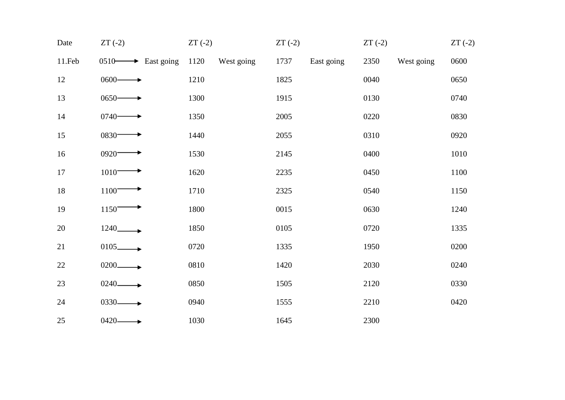| Date   | $ZT(-2)$                          | $ZT(-2)$           | $ZT(-2)$           | $ZT(-2)$           | $ZT(-2)$ |
|--------|-----------------------------------|--------------------|--------------------|--------------------|----------|
| 11.Feb | $0510 \longrightarrow$ East going | 1120<br>West going | 1737<br>East going | 2350<br>West going | 0600     |
| 12     | $0600 -$                          | 1210               | 1825               | 0040               | 0650     |
| 13     | $0650 -$                          | 1300               | 1915               | 0130               | 0740     |
| 14     | $0740 -$                          | 1350               | 2005               | 0220               | 0830     |
| 15     | 0830-                             | 1440               | 2055               | 0310               | 0920     |
| 16     | 0920-                             | 1530               | 2145               | 0400               | 1010     |
| 17     | $1010^-$                          | 1620               | 2235               | 0450               | 1100     |
| 18     | 1100                              | 1710               | 2325               | 0540               | 1150     |
| 19     | 1150                              | 1800               | 0015               | 0630               | 1240     |
| 20     | 1240                              | 1850               | 0105               | 0720               | 1335     |
| 21     | $0105-$                           | 0720               | 1335               | 1950               | 0200     |
| 22     | $0200-$                           | 0810               | 1420               | 2030               | 0240     |
| 23     | 0240-                             | 0850               | 1505               | 2120               | 0330     |
| 24     | 0330-                             | 0940               | 1555               | 2210               | 0420     |
| 25     | 0420-                             | 1030               | 1645               | 2300               |          |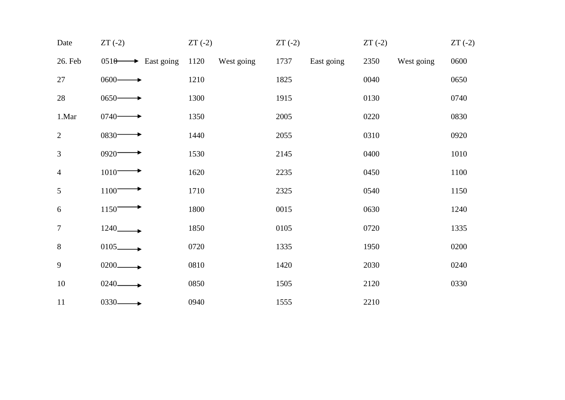| Date             | $ZT(-2)$                      | $ZT(-2)$           | $ZT(-2)$           | $ZT(-2)$           | $ZT(-2)$ |
|------------------|-------------------------------|--------------------|--------------------|--------------------|----------|
| 26. Feb          | $0510 \rightarrow$ East going | 1120<br>West going | 1737<br>East going | 2350<br>West going | 0600     |
| 27               | $0600 -$                      | 1210               | 1825               | 0040               | 0650     |
| 28               | $0650 -$                      | 1300               | 1915               | 0130               | 0740     |
| 1.Mar            | $0740-$                       | 1350               | 2005               | 0220               | 0830     |
| $\overline{2}$   | $0830 -$                      | 1440               | 2055               | 0310               | 0920     |
| $\overline{3}$   | $0920 -$                      | 1530               | 2145               | 0400               | 1010     |
| $\overline{4}$   | $1010^-$                      | 1620               | 2235               | 0450               | 1100     |
| 5                | 1100                          | 1710               | 2325               | 0540               | 1150     |
| 6                | 1150                          | 1800               | 0015               | 0630               | 1240     |
| $\boldsymbol{7}$ | 1240_                         | 1850               | 0105               | 0720               | 1335     |
| 8                | $0105$ <sub>-</sub>           | 0720               | 1335               | 1950               | 0200     |
| 9                | 0200                          | 0810               | 1420               | 2030               | 0240     |
| 10               | 0240-                         | 0850               | 1505               | 2120               | 0330     |
| 11               | 0330-                         | 0940               | 1555               | 2210               |          |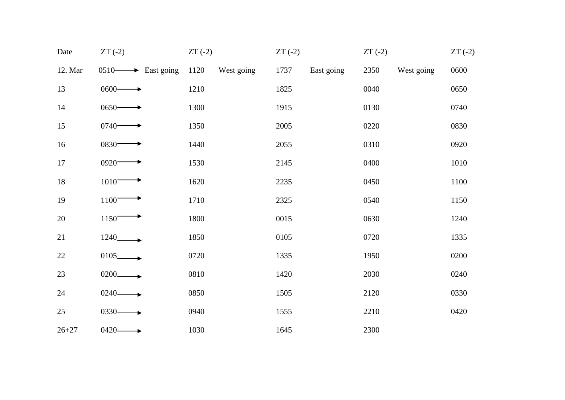| Date      | $ZT(-2)$                          | $ZT(-2)$           | $ZT(-2)$           | $ZT(-2)$           | $ZT(-2)$ |
|-----------|-----------------------------------|--------------------|--------------------|--------------------|----------|
| 12. Mar   | $0510 \longrightarrow$ East going | 1120<br>West going | 1737<br>East going | 2350<br>West going | 0600     |
| 13        | $0600 -$                          | 1210               | 1825               | 0040               | 0650     |
| 14        | $0650 -$                          | 1300               | 1915               | 0130               | 0740     |
| 15        | $0740-$                           | 1350               | 2005               | 0220               | 0830     |
| 16        | $0830 -$                          | 1440               | 2055               | 0310               | 0920     |
| 17        | $0920 -$                          | 1530               | 2145               | 0400               | 1010     |
| $18\,$    | $1010^-$                          | 1620               | 2235               | 0450               | 1100     |
| 19        | 1100                              | 1710               | 2325               | 0540               | 1150     |
| 20        | 1150                              | 1800               | 0015               | 0630               | 1240     |
| 21        | 1240_                             | 1850               | 0105               | 0720               | 1335     |
| 22        | $0105$ <sub>-</sub>               | 0720               | 1335               | 1950               | 0200     |
| 23        | $0200 -$                          | 0810               | 1420               | 2030               | 0240     |
| 24        | $0240 -$                          | 0850               | 1505               | 2120               | 0330     |
| 25        | $0330 -$                          | 0940               | 1555               | 2210               | 0420     |
| $26 + 27$ | $0420 -$                          | 1030               | 1645               | 2300               |          |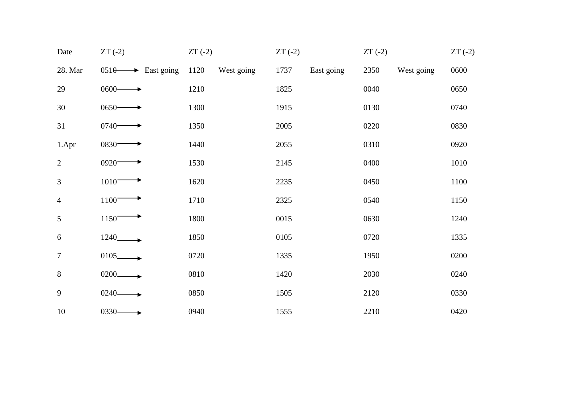| Date           | $ZT(-2)$                      | $ZT(-2)$           | $ZT(-2)$           | $ZT(-2)$           | $ZT(-2)$ |
|----------------|-------------------------------|--------------------|--------------------|--------------------|----------|
| 28. Mar        | $0510 \rightarrow$ East going | 1120<br>West going | 1737<br>East going | 2350<br>West going | 0600     |
| 29             | $0600 -$                      | 1210               | 1825               | 0040               | 0650     |
| 30             | $0650 -$                      | 1300               | 1915               | 0130               | 0740     |
| 31             | $0740 -$                      | 1350               | 2005               | 0220               | 0830     |
| 1.Apr          | 0830-                         | 1440               | 2055               | 0310               | 0920     |
| $\overline{2}$ | 0920-                         | 1530               | 2145               | 0400               | 1010     |
| 3              | $1010 -$                      | 1620               | 2235               | 0450               | 1100     |
| $\overline{4}$ | 1100                          | 1710               | 2325               | 0540               | 1150     |
| 5              | 1150                          | 1800               | 0015               | 0630               | 1240     |
| 6              | 1240_                         | 1850               | 0105               | 0720               | 1335     |
| $\tau$         | $0105 -$                      | 0720               | 1335               | 1950               | 0200     |
| $8\,$          | 0200                          | 0810               | 1420               | 2030               | 0240     |
| 9              | 0240-                         | 0850               | 1505               | 2120               | 0330     |
| 10             | 0330-                         | 0940               | 1555               | 2210               | 0420     |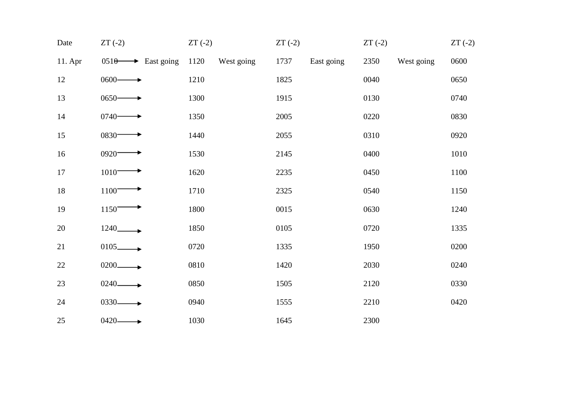| Date    | $ZT(-2)$                      | $ZT(-2)$           | $ZT(-2)$ |            | $ZT(-2)$ |            | $ZT(-2)$ |
|---------|-------------------------------|--------------------|----------|------------|----------|------------|----------|
| 11. Apr | $0510 \rightarrow$ East going | 1120<br>West going | 1737     | East going | 2350     | West going | 0600     |
| 12      | $0600 -$                      | 1210               | 1825     |            | 0040     |            | 0650     |
| 13      | $0650 -$                      | 1300               | 1915     |            | 0130     |            | 0740     |
| 14      | $0740-$                       | 1350               | 2005     |            | 0220     |            | 0830     |
| 15      | $0830 -$                      | 1440               | 2055     |            | 0310     |            | 0920     |
| 16      | 0920-                         | 1530               | 2145     |            | 0400     |            | 1010     |
| $17\,$  | $1010^-$                      | 1620               | 2235     |            | 0450     |            | 1100     |
| $18\,$  | 1100                          | 1710               | 2325     |            | 0540     |            | 1150     |
| 19      | 1150                          | 1800               | 0015     |            | 0630     |            | 1240     |
| 20      | 1240_                         | 1850               | 0105     |            | 0720     |            | 1335     |
| 21      | $0105$ <sub>-</sub>           | 0720               | 1335     |            | 1950     |            | 0200     |
| 22      | $0200 -$                      | 0810               | 1420     |            | 2030     |            | 0240     |
| 23      | 0240-                         | 0850               | 1505     |            | 2120     |            | 0330     |
| 24      | $0330 -$                      | 0940               | 1555     |            | 2210     |            | 0420     |
| 25      | $0420 -$                      | 1030               | 1645     |            | 2300     |            |          |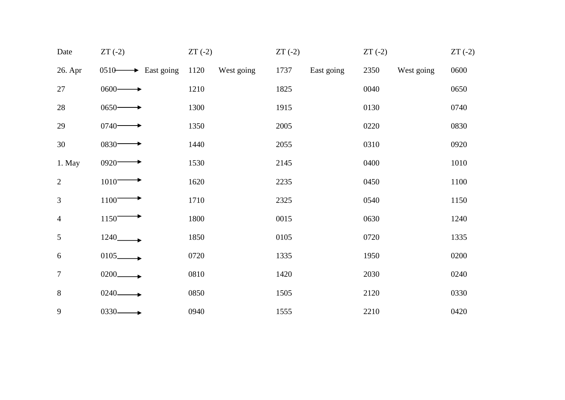| Date           | $ZT(-2)$                          | $ZT(-2)$           | $ZT(-2)$           | $ZT(-2)$           | $ZT(-2)$ |
|----------------|-----------------------------------|--------------------|--------------------|--------------------|----------|
| 26. Apr        | $0510 \longrightarrow$ East going | 1120<br>West going | 1737<br>East going | 2350<br>West going | 0600     |
| 27             | $0600 -$                          | 1210               | 1825               | 0040               | 0650     |
| $28\,$         | $0650 -$                          | 1300               | 1915               | 0130               | 0740     |
| 29             | $0740 -$                          | 1350               | 2005               | 0220               | 0830     |
| $30\,$         | 0830-                             | 1440               | 2055               | 0310               | 0920     |
| 1. May         | $0920 -$                          | 1530               | 2145               | 0400               | 1010     |
| $\overline{2}$ | $1010 -$                          | 1620               | 2235               | 0450               | 1100     |
| $\mathfrak{Z}$ | 1100                              | 1710               | 2325               | 0540               | 1150     |
| $\overline{4}$ | 1150                              | 1800               | 0015               | 0630               | 1240     |
| 5              | 1240_                             | 1850               | 0105               | 0720               | 1335     |
| 6              | $0105 -$                          | 0720               | 1335               | 1950               | 0200     |
| $\tau$         | 0200                              | 0810               | 1420               | 2030               | 0240     |
| $8\,$          | 0240-                             | 0850               | 1505               | 2120               | 0330     |
| 9              | $0330 -$                          | 0940               | 1555               | 2210               | 0420     |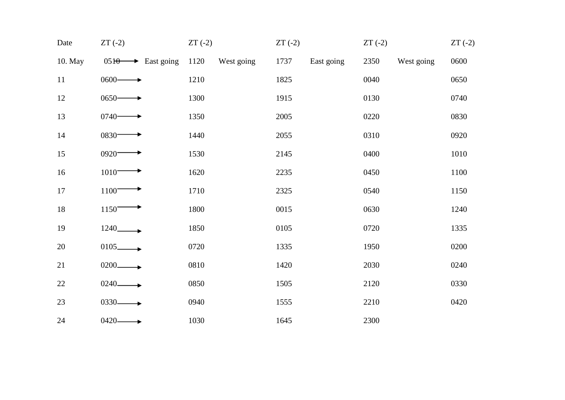| Date    | $ZT(-2)$                      | $ZT(-2)$           | $ZT(-2)$           | $ZT(-2)$           | $ZT(-2)$ |
|---------|-------------------------------|--------------------|--------------------|--------------------|----------|
| 10. May | $0510 \rightarrow$ East going | 1120<br>West going | 1737<br>East going | 2350<br>West going | 0600     |
| 11      | $0600 -$                      | 1210               | 1825               | 0040               | 0650     |
| 12      | $0650-$                       | 1300               | 1915               | 0130               | 0740     |
| 13      | $0740-$                       | 1350               | 2005               | 0220               | 0830     |
| 14      | 0830-                         | 1440               | 2055               | 0310               | 0920     |
| 15      | 0920-                         | 1530               | 2145               | 0400               | 1010     |
| 16      | $1010^-$                      | 1620               | 2235               | 0450               | 1100     |
| 17      | 1100                          | 1710               | 2325               | 0540               | 1150     |
| 18      | 1150                          | 1800               | 0015               | 0630               | 1240     |
| 19      | 1240_                         | 1850               | 0105               | 0720               | 1335     |
| 20      | $0105$ <sub>--</sub>          | 0720               | 1335               | 1950               | 0200     |
| 21      | $0200 -$                      | 0810               | 1420               | 2030               | 0240     |
| 22      | 0240-                         | 0850               | 1505               | 2120               | 0330     |
| 23      | $0330 -$                      | 0940               | 1555               | 2210               | 0420     |
| 24      | $0420 -$                      | 1030               | 1645               | 2300               |          |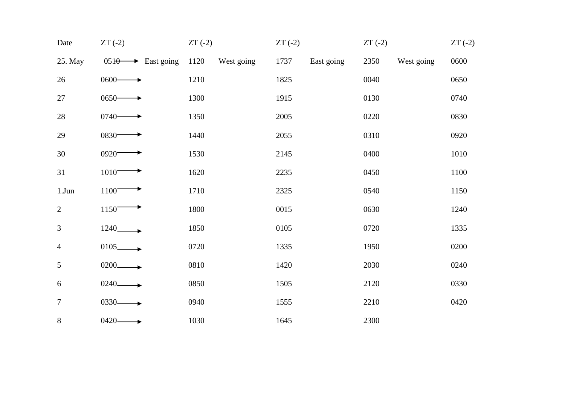| Date           | $ZT(-2)$                      | $ZT(-2)$           | $ZT(-2)$           | $ZT(-2)$           | $ZT(-2)$ |
|----------------|-------------------------------|--------------------|--------------------|--------------------|----------|
| 25. May        | $0510 \rightarrow$ East going | 1120<br>West going | 1737<br>East going | 2350<br>West going | 0600     |
| 26             | $0600 -$                      | 1210               | 1825               | 0040               | 0650     |
| $27\,$         | $0650-$                       | 1300               | 1915               | 0130               | 0740     |
| 28             | $0740-$                       | 1350               | 2005               | 0220               | 0830     |
| 29             | 0830-                         | 1440               | 2055               | 0310               | 0920     |
| 30             | 0920-                         | 1530               | 2145               | 0400               | 1010     |
| 31             | $1010^-$                      | 1620               | 2235               | 0450               | 1100     |
| $1.J$ un       | 1100                          | 1710               | 2325               | 0540               | 1150     |
| $\overline{2}$ | 1150                          | 1800               | 0015               | 0630               | 1240     |
| $\mathfrak{Z}$ | 1240_                         | 1850               | 0105               | 0720               | 1335     |
| $\overline{4}$ | $0105-$                       | 0720               | 1335               | 1950               | 0200     |
| $\mathfrak{S}$ | $0200 -$                      | 0810               | 1420               | 2030               | 0240     |
| 6              | 0240-                         | 0850               | 1505               | 2120               | 0330     |
| $\overline{7}$ | $0330 -$                      | 0940               | 1555               | 2210               | 0420     |
| $8\,$          | $0420 -$                      | 1030               | 1645               | 2300               |          |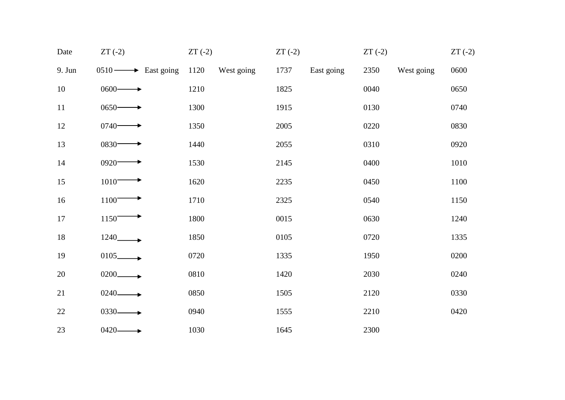| Date   | $ZT(-2)$                          | $ZT(-2)$           | $ZT(-2)$           | $ZT(-2)$           | $ZT(-2)$ |
|--------|-----------------------------------|--------------------|--------------------|--------------------|----------|
| 9. Jun | $0510 \longrightarrow$ East going | 1120<br>West going | 1737<br>East going | 2350<br>West going | 0600     |
| 10     | $0600 -$                          | 1210               | 1825               | 0040               | 0650     |
| $11\,$ | $0650 -$                          | 1300               | 1915               | 0130               | 0740     |
| 12     | $0740 -$                          | 1350               | 2005               | 0220               | 0830     |
| 13     | $0830 -$                          | 1440               | 2055               | 0310               | 0920     |
| 14     | 0920-                             | 1530               | 2145               | 0400               | 1010     |
| 15     | $1010^-$                          | 1620               | 2235               | 0450               | 1100     |
| 16     | 1100                              | 1710               | 2325               | 0540               | 1150     |
| 17     | 1150                              | 1800               | 0015               | 0630               | 1240     |
| $18\,$ |                                   | 1850               | 0105               | 0720               | 1335     |
| 19     | $0105 -$                          | 0720               | 1335               | 1950               | 0200     |
| 20     | $0200 -$                          | 0810               | 1420               | 2030               | 0240     |
| 21     | 0240-                             | 0850               | 1505               | 2120               | 0330     |
| $22\,$ | $0330 -$                          | 0940               | 1555               | 2210               | 0420     |
| 23     | $0420 -$                          | 1030               | 1645               | 2300               |          |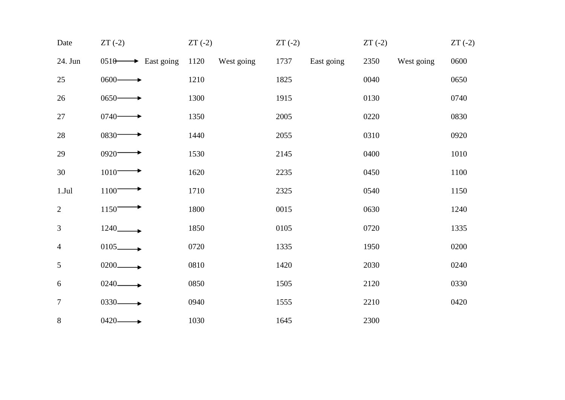| Date           | $ZT(-2)$                             | $ZT(-2)$           | $ZT(-2)$           | $ZT(-2)$           | $ZT(-2)$ |
|----------------|--------------------------------------|--------------------|--------------------|--------------------|----------|
| 24. Jun        | $\rightarrow$ East going<br>$0510 -$ | 1120<br>West going | 1737<br>East going | 2350<br>West going | 0600     |
| 25             | $0600 -$                             | 1210               | 1825               | 0040               | 0650     |
| 26             | $0650 -$                             | 1300               | 1915               | 0130               | 0740     |
| $27\,$         | $0740-$                              | 1350               | 2005               | 0220               | 0830     |
| 28             | $0830 -$                             | 1440               | 2055               | 0310               | 0920     |
| 29             | 0920-                                | 1530               | 2145               | 0400               | 1010     |
| 30             | $1010^-$                             | 1620               | 2235               | 0450               | 1100     |
| 1.Jul          | 1100                                 | 1710               | 2325               | 0540               | 1150     |
| $\overline{2}$ | 1150                                 | 1800               | 0015               | 0630               | 1240     |
| $\mathfrak{Z}$ | $1240$ <sub>______</sub>             | 1850               | 0105               | 0720               | 1335     |
| $\overline{4}$ | $0105-$                              | 0720               | 1335               | 1950               | 0200     |
| 5              | $0200 -$                             | 0810               | 1420               | 2030               | 0240     |
| 6              | 0240-                                | 0850               | 1505               | 2120               | 0330     |
| $\overline{7}$ | $0330 -$                             | 0940               | 1555               | 2210               | 0420     |
| $8\,$          | $0420 -$                             | 1030               | 1645               | 2300               |          |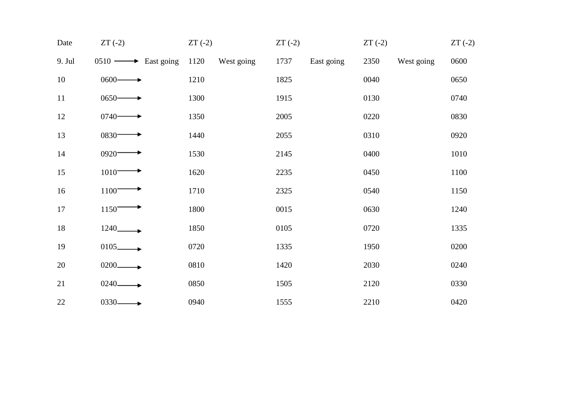| Date   | $ZT(-2)$                          | $ZT(-2)$           | $ZT(-2)$           | $ZT(-2)$           | $ZT(-2)$ |
|--------|-----------------------------------|--------------------|--------------------|--------------------|----------|
| 9. Jul | $0510 \longrightarrow$ East going | 1120<br>West going | 1737<br>East going | 2350<br>West going | 0600     |
| 10     | $0600 -$                          | 1210               | 1825               | 0040               | 0650     |
| 11     | $0650-$                           | 1300               | 1915               | 0130               | 0740     |
| 12     | $0740-$                           | 1350               | 2005               | 0220               | 0830     |
| 13     | $0830 -$                          | 1440               | 2055               | 0310               | 0920     |
| 14     | 0920-                             | 1530               | 2145               | 0400               | 1010     |
| 15     | $1010 -$                          | 1620               | 2235               | 0450               | 1100     |
| 16     | 1100                              | 1710               | 2325               | 0540               | 1150     |
| 17     | 1150                              | 1800               | 0015               | 0630               | 1240     |
| 18     | 1240_                             | 1850               | 0105               | 0720               | 1335     |
| 19     | $0105$ <sub>-</sub>               | 0720               | 1335               | 1950               | 0200     |
| 20     | 0200                              | 0810               | 1420               | 2030               | 0240     |
| 21     | 0240-                             | 0850               | 1505               | 2120               | 0330     |
| 22     | $0330 -$                          | 0940               | 1555               | 2210               | 0420     |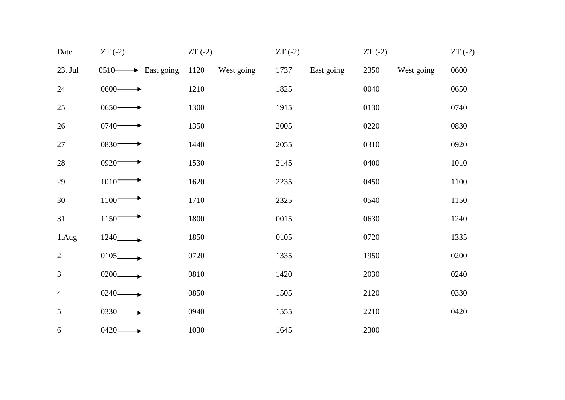| Date           | $ZT(-2)$                          | $ZT(-2)$           | $ZT(-2)$ | $ZT(-2)$           | $ZT(-2)$           |
|----------------|-----------------------------------|--------------------|----------|--------------------|--------------------|
| 23. Jul        | $0510 \longrightarrow$ East going | 1120<br>West going | 1737     | East going<br>2350 | 0600<br>West going |
| 24             | $0600 -$                          | 1210               | 1825     | 0040               | 0650               |
| $25\,$         | $0650-$                           | 1300               | 1915     | 0130               | 0740               |
| 26             | $0740 -$                          | 1350               | 2005     | 0220               | 0830               |
| 27             | $0830 -$                          | 1440               | 2055     | 0310               | 0920               |
| $28\,$         | 0920-                             | 1530               | 2145     | 0400               | 1010               |
| 29             | $1010^-$                          | 1620               | 2235     | 0450               | 1100               |
| 30             | 1100                              | 1710               | 2325     | 0540               | 1150               |
| 31             | 1150                              | 1800               | 0015     | 0630               | 1240               |
| 1.Aug          | 1240_                             | 1850               | 0105     | 0720               | 1335               |
| $\overline{2}$ | $0105$ $\longrightarrow$          | 0720               | 1335     | 1950               | 0200               |
| $\mathfrak{Z}$ | $0200 -$                          | 0810               | 1420     | 2030               | 0240               |
| $\overline{4}$ | 0240-                             | 0850               | 1505     | 2120               | 0330               |
| 5              | $0330 -$                          | 0940               | 1555     | 2210               | 0420               |
| 6              | $0420 -$                          | 1030               | 1645     | 2300               |                    |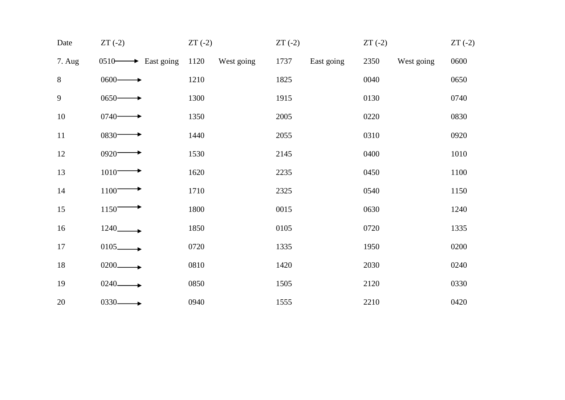| Date   | $ZT(-2)$                          | $ZT(-2)$           | $ZT(-2)$           | $ZT(-2)$           | $ZT(-2)$ |
|--------|-----------------------------------|--------------------|--------------------|--------------------|----------|
| 7. Aug | $0510 \longrightarrow$ East going | 1120<br>West going | 1737<br>East going | 2350<br>West going | 0600     |
| $8\,$  | $0600 -$                          | 1210               | 1825               | 0040               | 0650     |
| 9      | $0650-$                           | 1300               | 1915               | 0130               | 0740     |
| 10     | $0740-$                           | 1350               | 2005               | 0220               | 0830     |
| 11     | $0830 -$                          | 1440               | 2055               | 0310               | 0920     |
| 12     | 0920-                             | 1530               | 2145               | 0400               | 1010     |
| 13     | $1010 -$                          | 1620               | 2235               | 0450               | 1100     |
| 14     | 1100                              | 1710               | 2325               | 0540               | 1150     |
| 15     | 1150                              | 1800               | 0015               | 0630               | 1240     |
| 16     | 1240_                             | 1850               | 0105               | 0720               | 1335     |
| 17     | $0105$ <sub>-</sub>               | 0720               | 1335               | 1950               | 0200     |
| 18     | 0200                              | 0810               | 1420               | 2030               | 0240     |
| 19     | 0240-                             | 0850               | 1505               | 2120               | 0330     |
| 20     | $0330 -$                          | 0940               | 1555               | 2210               | 0420     |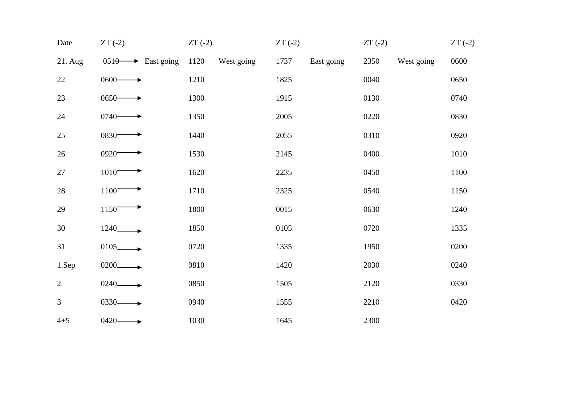| Date           | $ZT(-2)$                      | $ZT(-2)$ |            | $ZT(-2)$ |            | $ZT(-2)$ |            | $ZT(-2)$ |
|----------------|-------------------------------|----------|------------|----------|------------|----------|------------|----------|
| 21. Aug        | $0510 \rightarrow$ East going | 1120     | West going | 1737     | East going | 2350     | West going | 0600     |
| 22             | $0600 -$                      | 1210     |            | 1825     |            | 0040     |            | 0650     |
| 23             | $0650 -$                      | 1300     |            | 1915     |            | 0130     |            | 0740     |
| 24             | $0740 -$                      | 1350     |            | 2005     |            | 0220     |            | 0830     |
| 25             | $0830 -$                      | 1440     |            | 2055     |            | 0310     |            | 0920     |
| 26             | 0920-                         | 1530     |            | 2145     |            | 0400     |            | 1010     |
| 27             | $1010^-$                      | 1620     |            | 2235     |            | 0450     |            | 1100     |
| 28             | 1100                          | 1710     |            | 2325     |            | 0540     |            | 1150     |
| 29             | 1150                          | 1800     |            | 0015     |            | 0630     |            | 1240     |
| 30             | 1240                          | 1850     |            | 0105     |            | 0720     |            | 1335     |
| 31             | $0105$ <sub>--</sub>          | 0720     |            | 1335     |            | 1950     |            | 0200     |
| 1.Sep          | $0200 -$                      | 0810     |            | 1420     |            | 2030     |            | 0240     |
| $\overline{2}$ | 0240-                         | 0850     |            | 1505     |            | 2120     |            | 0330     |
| $\overline{3}$ | $0330 -$                      | 0940     |            | 1555     |            | 2210     |            | 0420     |
| $4 + 5$        | 0420-                         | 1030     |            | 1645     |            | 2300     |            |          |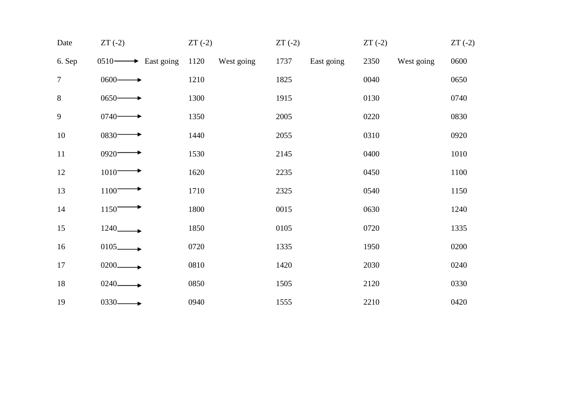| Date           | $ZT(-2)$                          | $ZT(-2)$           | $ZT(-2)$           | $ZT(-2)$           | $ZT(-2)$ |
|----------------|-----------------------------------|--------------------|--------------------|--------------------|----------|
| 6. Sep         | $0510 \longrightarrow$ East going | 1120<br>West going | 1737<br>East going | 2350<br>West going | 0600     |
| $\overline{7}$ | $0600 -$                          | 1210               | 1825               | 0040               | 0650     |
| $\,8\,$        | $0650-$                           | 1300               | 1915               | 0130               | 0740     |
| $\overline{9}$ | $0740-$                           | 1350               | 2005               | 0220               | 0830     |
| 10             | $0830 -$                          | 1440               | 2055               | 0310               | 0920     |
| 11             | 0920-                             | 1530               | 2145               | 0400               | 1010     |
| 12             | $1010 -$                          | 1620               | 2235               | 0450               | 1100     |
| 13             | 1100                              | 1710               | 2325               | 0540               | 1150     |
| 14             | 1150                              | 1800               | 0015               | 0630               | 1240     |
| 15             | 1240_                             | 1850               | 0105               | 0720               | 1335     |
| 16             | $0105$ <sub>-</sub>               | 0720               | 1335               | 1950               | 0200     |
| 17             | 0200                              | 0810               | 1420               | 2030               | 0240     |
| $18\,$         | 0240-                             | 0850               | 1505               | 2120               | 0330     |
| 19             | 0330-                             | 0940               | 1555               | 2210               | 0420     |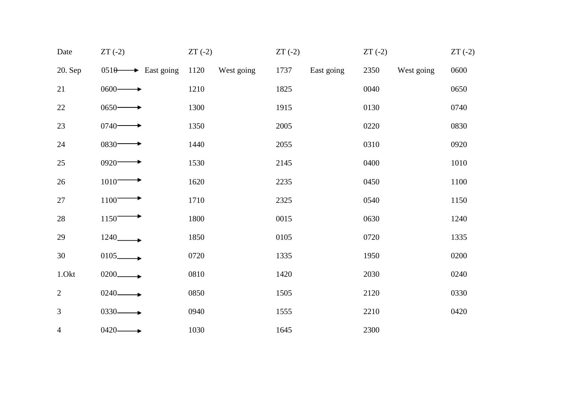| Date           | $ZT(-2)$                      | $ZT(-2)$ |            | $ZT(-2)$ |            | $ZT(-2)$ |            | $ZT(-2)$ |
|----------------|-------------------------------|----------|------------|----------|------------|----------|------------|----------|
| 20. Sep        | $0510 \rightarrow$ East going | 1120     | West going | 1737     | East going | 2350     | West going | 0600     |
| 21             | $0600 -$                      | 1210     |            | 1825     |            | 0040     |            | 0650     |
| $22\,$         | $0650-$                       | 1300     |            | 1915     |            | 0130     |            | 0740     |
| 23             | $0740-$                       | 1350     |            | 2005     |            | 0220     |            | 0830     |
| 24             | $0830 -$                      | 1440     |            | 2055     |            | 0310     |            | 0920     |
| 25             | 0920-                         | 1530     |            | 2145     |            | 0400     |            | 1010     |
| $26\,$         | $1010^-$                      | 1620     |            | 2235     |            | 0450     |            | 1100     |
| $27\,$         | 1100                          | 1710     |            | 2325     |            | 0540     |            | 1150     |
| $28\,$         | 1150                          | 1800     |            | 0015     |            | 0630     |            | 1240     |
| 29             | 1240_                         | 1850     |            | 0105     |            | 0720     |            | 1335     |
| 30             | $0105$ <sub>_____</sub>       | 0720     |            | 1335     |            | 1950     |            | 0200     |
| 1.Okt          | $0200 -$                      | 0810     |            | 1420     |            | 2030     |            | 0240     |
| $\overline{2}$ | $0240 -$                      | 0850     |            | 1505     |            | 2120     |            | 0330     |
| 3              | $0330 -$                      | 0940     |            | 1555     |            | 2210     |            | 0420     |
| 4              | $0420 -$                      | 1030     |            | 1645     |            | 2300     |            |          |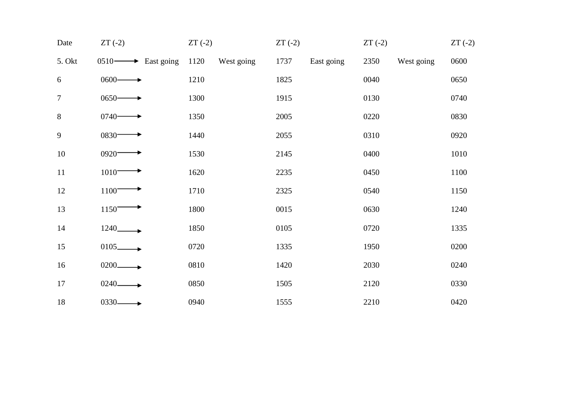| Date           | $ZT(-2)$                          | $ZT(-2)$           | $ZT(-2)$           | $ZT(-2)$           | $ZT(-2)$ |
|----------------|-----------------------------------|--------------------|--------------------|--------------------|----------|
| 5. Okt         | $0510 \longrightarrow$ East going | 1120<br>West going | 1737<br>East going | 2350<br>West going | 0600     |
| 6              | $0600 -$                          | 1210               | 1825               | 0040               | 0650     |
| $\overline{7}$ | $0650-$                           | 1300               | 1915               | 0130               | 0740     |
| $8\,$          | $0740-$                           | 1350               | 2005               | 0220               | 0830     |
| 9              | $0830 -$                          | 1440               | 2055               | 0310               | 0920     |
| 10             | 0920-                             | 1530               | 2145               | 0400               | 1010     |
| 11             | $1010 -$                          | 1620               | 2235               | 0450               | 1100     |
| 12             | 1100                              | 1710               | 2325               | 0540               | 1150     |
| 13             | 1150                              | 1800               | 0015               | 0630               | 1240     |
| 14             | 1240_                             | 1850               | 0105               | 0720               | 1335     |
| 15             | $0105$ <sub>-</sub>               | 0720               | 1335               | 1950               | 0200     |
| 16             | 0200                              | 0810               | 1420               | 2030               | 0240     |
| 17             | 0240-                             | 0850               | 1505               | 2120               | 0330     |
| 18             | $0330 -$                          | 0940               | 1555               | 2210               | 0420     |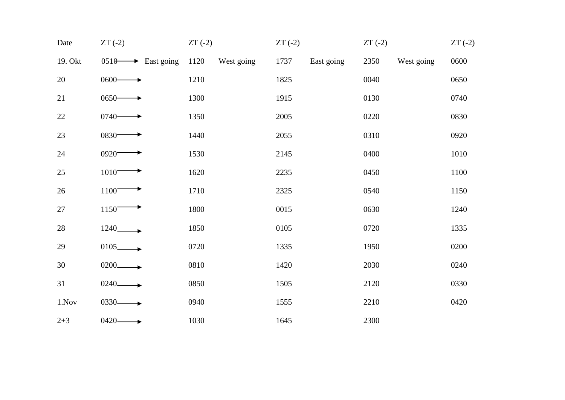| Date    | $ZT(-2)$                      | $ZT(-2)$           | $ZT(-2)$           | $ZT(-2)$           | $ZT(-2)$ |
|---------|-------------------------------|--------------------|--------------------|--------------------|----------|
| 19. Okt | $0510 \rightarrow$ East going | 1120<br>West going | 1737<br>East going | 2350<br>West going | 0600     |
| 20      | $0600 -$                      | 1210               | 1825               | 0040               | 0650     |
| 21      | $0650-$                       | 1300               | 1915               | 0130               | 0740     |
| 22      | $0740-$                       | 1350               | 2005               | 0220               | 0830     |
| 23      | 0830-                         | 1440               | 2055               | 0310               | 0920     |
| 24      | 0920-                         | 1530               | 2145               | 0400               | 1010     |
| 25      | $1010^-$                      | 1620               | 2235               | 0450               | 1100     |
| 26      | 1100                          | 1710               | 2325               | 0540               | 1150     |
| $27\,$  | 1150                          | 1800               | 0015               | 0630               | 1240     |
| $28\,$  | 1240_                         | 1850               | 0105               | 0720               | 1335     |
| 29      | $0105-$                       | 0720               | 1335               | 1950               | 0200     |
| 30      | $0200 -$                      | 0810               | 1420               | 2030               | 0240     |
| 31      | 0240-                         | 0850               | 1505               | 2120               | 0330     |
| 1.Nov   | $0330 -$                      | 0940               | 1555               | 2210               | 0420     |
| $2 + 3$ | $0420 -$                      | 1030               | 1645               | 2300               |          |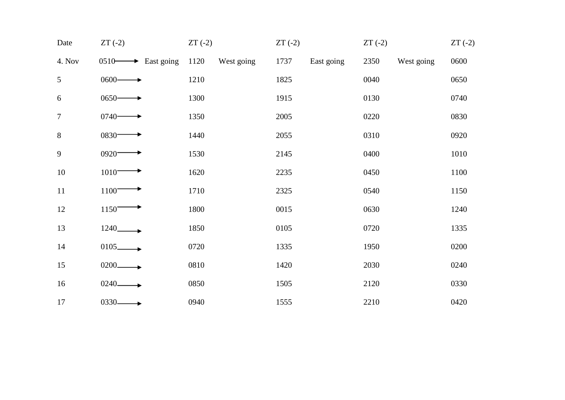| Date             | $ZT(-2)$                          | $ZT(-2)$           | $ZT(-2)$           | $ZT(-2)$           | $ZT(-2)$ |
|------------------|-----------------------------------|--------------------|--------------------|--------------------|----------|
| 4. Nov           | $0510 \longrightarrow$ East going | 1120<br>West going | 1737<br>East going | 2350<br>West going | 0600     |
| 5                | $0600 -$                          | 1210               | 1825               | 0040               | 0650     |
| 6                | $0650-$                           | 1300               | 1915               | 0130               | 0740     |
| $\boldsymbol{7}$ | $0740-$                           | 1350               | 2005               | 0220               | 0830     |
| $8\,$            | $0830 -$                          | 1440               | 2055               | 0310               | 0920     |
| 9                | 0920-                             | 1530               | 2145               | 0400               | 1010     |
| $10\,$           | $1010 -$                          | 1620               | 2235               | 0450               | 1100     |
| 11               | 1100                              | 1710               | 2325               | 0540               | 1150     |
| 12               | 1150                              | 1800               | 0015               | 0630               | 1240     |
| 13               | 1240_                             | 1850               | 0105               | 0720               | 1335     |
| 14               | $0105$ <sub>-</sub>               | 0720               | 1335               | 1950               | 0200     |
| 15               | 0200                              | 0810               | 1420               | 2030               | 0240     |
| 16               | 0240-                             | 0850               | 1505               | 2120               | 0330     |
| 17               | 0330-                             | 0940               | 1555               | 2210               | 0420     |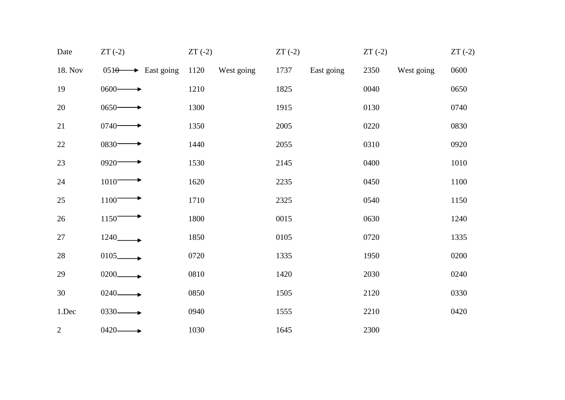| Date         | $ZT(-2)$                      | $ZT(-2)$           | $ZT(-2)$           | $ZT(-2)$           | $ZT(-2)$ |
|--------------|-------------------------------|--------------------|--------------------|--------------------|----------|
| 18. Nov      | $0510 \rightarrow$ East going | 1120<br>West going | 1737<br>East going | 2350<br>West going | 0600     |
| 19           | $0600 -$                      | 1210               | 1825               | 0040               | 0650     |
| 20           | $0650-$                       | 1300               | 1915               | 0130               | 0740     |
| 21           | $0740-$                       | 1350               | 2005               | 0220               | 0830     |
| $22\,$       | 0830-                         | 1440               | 2055               | 0310               | 0920     |
| 23           | $0920 -$                      | 1530               | 2145               | 0400               | 1010     |
| $24\,$       | $1010^-$                      | 1620               | 2235               | 0450               | 1100     |
| $25\,$       | 1100                          | 1710               | 2325               | 0540               | 1150     |
| 26           | 1150 <sup>-</sup>             | 1800               | 0015               | 0630               | 1240     |
| 27           | 1240_                         | 1850               | 0105               | 0720               | 1335     |
| 28           | $0105$ <sub>-</sub>           | 0720               | 1335               | 1950               | 0200     |
| 29           | $0200 -$                      | 0810               | 1420               | 2030               | 0240     |
| 30           | $0240 -$                      | 0850               | 1505               | 2120               | 0330     |
| 1.Dec        | $0330 -$                      | 0940               | 1555               | 2210               | 0420     |
| $\mathbf{2}$ | $0420 -$                      | 1030               | 1645               | 2300               |          |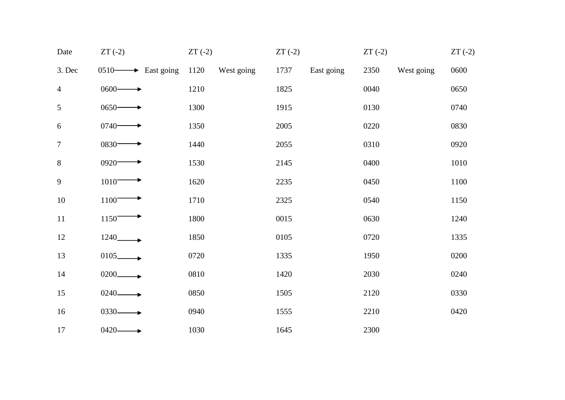| Date           | $ZT(-2)$                          | $ZT(-2)$ |            | $ZT(-2)$ |            | $ZT(-2)$ |            | $ZT(-2)$ |
|----------------|-----------------------------------|----------|------------|----------|------------|----------|------------|----------|
| 3. Dec         | $0510 \longrightarrow$ East going | 1120     | West going | 1737     | East going | 2350     | West going | 0600     |
| $\overline{4}$ | $0600 -$                          | 1210     |            | 1825     |            | 0040     |            | 0650     |
| 5              | $0650 -$                          | 1300     |            | 1915     |            | 0130     |            | 0740     |
| $6\,$          | $0740-$                           | 1350     |            | 2005     |            | 0220     |            | 0830     |
| $\tau$         | $0830 -$                          | 1440     |            | 2055     |            | 0310     |            | 0920     |
| 8              | $0920 -$                          | 1530     |            | 2145     |            | 0400     |            | 1010     |
| 9              | $1010^-$                          | 1620     |            | 2235     |            | 0450     |            | 1100     |
| $10\,$         | 1100                              | 1710     |            | 2325     |            | 0540     |            | 1150     |
| 11             | 1150                              | 1800     |            | 0015     |            | 0630     |            | 1240     |
| 12             |                                   | 1850     |            | 0105     |            | 0720     |            | 1335     |
| 13             | $0105$ $\longrightarrow$          | 0720     |            | 1335     |            | 1950     |            | 0200     |
| 14             | $0200 -$                          | 0810     |            | 1420     |            | 2030     |            | 0240     |
| 15             | $0240 -$                          | 0850     |            | 1505     |            | 2120     |            | 0330     |
| 16             | $0330 -$                          | 0940     |            | 1555     |            | 2210     |            | 0420     |
| 17             | $0420 \longrightarrow$            | 1030     |            | 1645     |            | 2300     |            |          |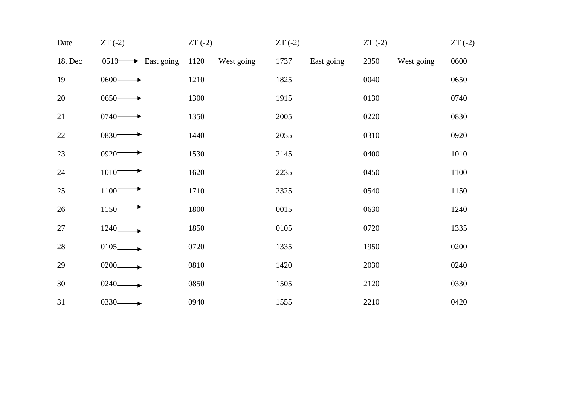| Date    | $ZT(-2)$                      | $ZT(-2)$           | $ZT(-2)$           | $ZT(-2)$           | $ZT(-2)$ |
|---------|-------------------------------|--------------------|--------------------|--------------------|----------|
| 18. Dec | $0510 \rightarrow$ East going | 1120<br>West going | 1737<br>East going | 2350<br>West going | 0600     |
| 19      | $0600 -$                      | 1210               | 1825               | 0040               | 0650     |
| 20      | $0650-$                       | 1300               | 1915               | 0130               | 0740     |
| 21      | $0740-$                       | 1350               | 2005               | 0220               | 0830     |
| 22      | $0830 -$                      | 1440               | 2055               | 0310               | 0920     |
| 23      | 0920-                         | 1530               | 2145               | 0400               | 1010     |
| 24      | $1010 -$                      | 1620               | 2235               | 0450               | 1100     |
| 25      | 1100                          | 1710               | 2325               | 0540               | 1150     |
| 26      | 1150                          | 1800               | 0015               | 0630               | 1240     |
| 27      | 1240_                         | 1850               | 0105               | 0720               | 1335     |
| 28      | $0105$ <sub>-</sub>           | 0720               | 1335               | 1950               | 0200     |
| 29      | 0200                          | 0810               | 1420               | 2030               | 0240     |
| 30      | 0240-                         | 0850               | 1505               | 2120               | 0330     |
| 31      | $0330 -$                      | 0940               | 1555               | 2210               | 0420     |